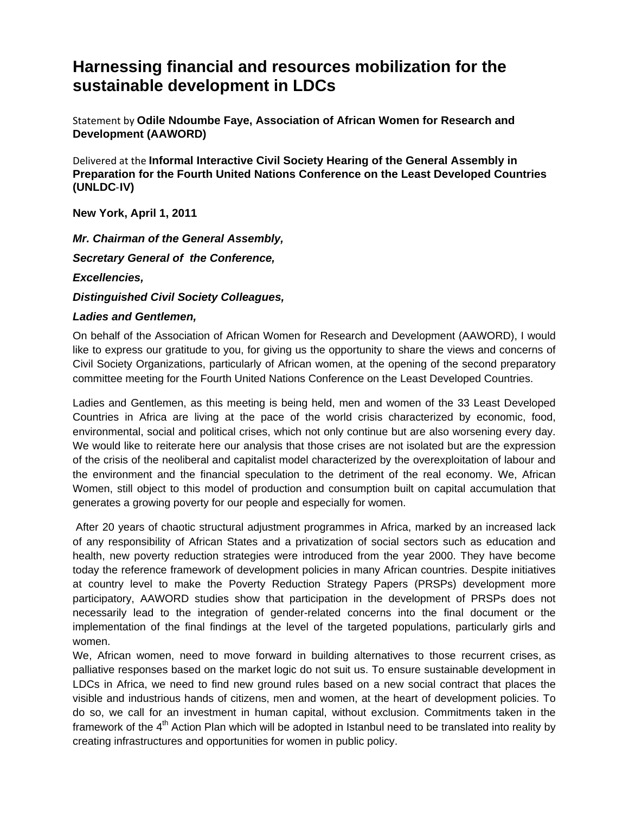## **Harnessing financial and resources mobilization for the sustainable development in LDCs**

Statement by **Odile Ndoumbe Faye, Association of African Women for Research and Development (AAWORD)** 

Delivered at the **Informal Interactive Civil Society Hearing of the General Assembly in Preparation for the Fourth United Nations Conference on the Least Developed Countries (UNLDC**‐**IV)** 

**New York, April 1, 2011**

*Mr. Chairman of the General Assembly, Secretary General of the Conference, Excellencies,* 

*Distinguished Civil Society Colleagues,* 

## *Ladies and Gentlemen,*

On behalf of the Association of African Women for Research and Development (AAWORD), I would like to express our gratitude to you, for giving us the opportunity to share the views and concerns of Civil Society Organizations, particularly of African women, at the opening of the second preparatory committee meeting for the Fourth United Nations Conference on the Least Developed Countries.

Ladies and Gentlemen, as this meeting is being held, men and women of the 33 Least Developed Countries in Africa are living at the pace of the world crisis characterized by economic, food, environmental, social and political crises, which not only continue but are also worsening every day. We would like to reiterate here our analysis that those crises are not isolated but are the expression of the crisis of the neoliberal and capitalist model characterized by the overexploitation of labour and the environment and the financial speculation to the detriment of the real economy. We, African Women, still object to this model of production and consumption built on capital accumulation that generates a growing poverty for our people and especially for women.

 After 20 years of chaotic structural adjustment programmes in Africa, marked by an increased lack of any responsibility of African States and a privatization of social sectors such as education and health, new poverty reduction strategies were introduced from the year 2000. They have become today the reference framework of development policies in many African countries. Despite initiatives at country level to make the Poverty Reduction Strategy Papers (PRSPs) development more participatory, AAWORD studies show that participation in the development of PRSPs does not necessarily lead to the integration of gender-related concerns into the final document or the implementation of the final findings at the level of the targeted populations, particularly girls and women.

We, African women, need to move forward in building alternatives to those recurrent crises, as palliative responses based on the market logic do not suit us. To ensure sustainable development in LDCs in Africa, we need to find new ground rules based on a new social contract that places the visible and industrious hands of citizens, men and women, at the heart of development policies. To do so, we call for an investment in human capital, without exclusion. Commitments taken in the framework of the 4<sup>th</sup> Action Plan which will be adopted in Istanbul need to be translated into reality by creating infrastructures and opportunities for women in public policy.